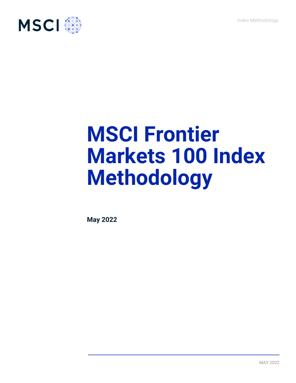Index Methodology



# **MSCI Frontier Markets 100 Index Methodology**

**May 2022**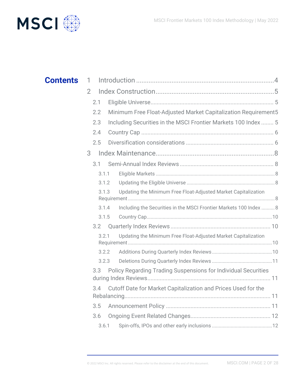

| <b>Contents</b> | 1              |       |                                                                       |  |
|-----------------|----------------|-------|-----------------------------------------------------------------------|--|
|                 | $\overline{2}$ |       |                                                                       |  |
|                 | 2.1            |       |                                                                       |  |
|                 | 2.2            |       | Minimum Free Float-Adjusted Market Capitalization Requirement5        |  |
|                 | 2.3            |       | Including Securities in the MSCI Frontier Markets 100 Index  5        |  |
|                 | 2.4            |       |                                                                       |  |
|                 | 2.5            |       |                                                                       |  |
|                 | 3              |       |                                                                       |  |
|                 | 3.1            |       |                                                                       |  |
|                 |                | 3.1.1 |                                                                       |  |
|                 |                | 3.1.2 |                                                                       |  |
|                 |                | 3.1.3 | Updating the Minimum Free Float-Adjusted Market Capitalization        |  |
|                 |                | 3.1.4 | Including the Securities in the MSCI Frontier Markets 100 Index  8    |  |
|                 |                | 3.1.5 |                                                                       |  |
|                 | 3.2            |       |                                                                       |  |
|                 | 3.2.1          |       | Updating the Minimum Free Float-Adjusted Market Capitalization        |  |
|                 |                | 3.2.2 |                                                                       |  |
|                 |                | 3.2.3 |                                                                       |  |
|                 | 3.3            |       | <b>Policy Regarding Trading Suspensions for Individual Securities</b> |  |
|                 | 3.4            |       | Cutoff Date for Market Capitalization and Prices Used for the         |  |
|                 | 3.5            |       |                                                                       |  |
|                 | 3.6            |       |                                                                       |  |
|                 |                | 3.6.1 |                                                                       |  |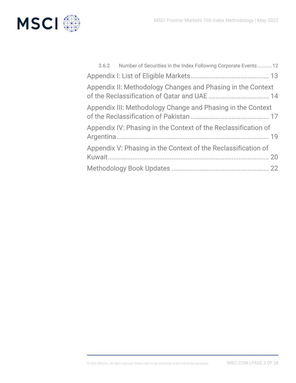

| 3.6.2 Number of Securities in the Index Following Corporate Events12 |  |
|----------------------------------------------------------------------|--|
|                                                                      |  |
| Appendix II: Methodology Changes and Phasing in the Context          |  |
| Appendix III: Methodology Change and Phasing in the Context          |  |
| Appendix IV: Phasing in the Context of the Reclassification of       |  |
| Appendix V: Phasing in the Context of the Reclassification of        |  |
|                                                                      |  |
|                                                                      |  |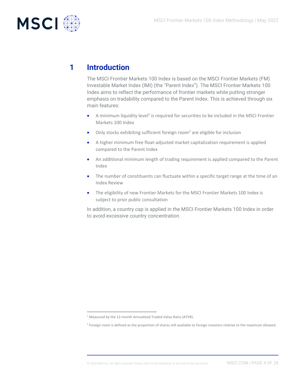

# **1 Introduction**

<span id="page-3-0"></span>The MSCI Frontier Markets 100 Index is based on the MSCI Frontier Markets (FM) Investable Market Index (IMI) (the "Parent Index"). The MSCI Frontier Markets 100 Index aims to reflect the performance of frontier markets while putting stronger emphasis on tradability compared to the Parent Index. This is achieved through six main features:

- $\bullet$  A minimum liquidity level<sup>1</sup> is required for securities to be included in the MSCI Frontier Markets 100 Index
- Only stocks exhibiting sufficient foreign room<sup>2</sup> are eligible for inclusion
- A higher minimum free float-adjusted market capitalization requirement is applied compared to the Parent Index
- An additional minimum length of trading requirement is applied compared to the Parent Index
- The number of constituents can fluctuate within a specific target range at the time of an Index Review
- The eligibility of new Frontier Markets for the MSCI Frontier Markets 100 Index is subject to prior public consultation

In addition, a country cap is applied in the MSCI Frontier Markets 100 Index in order to avoid excessive country concentration.

<sup>&</sup>lt;sup>1</sup> Measured by the 12-month Annualized Traded Value Ratio (ATVR).

<sup>&</sup>lt;sup>2</sup> Foreign room is defined as the proportion of shares still available to foreign investors relative to the maximum allowed.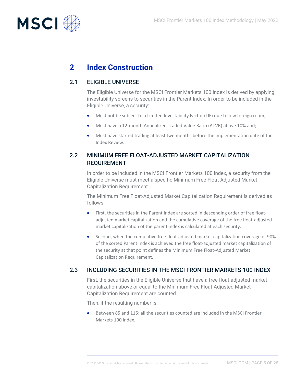

# <span id="page-4-0"></span>**2 Index Construction**

# 2.1 ELIGIBLE UNIVERSE

<span id="page-4-1"></span>The Eligible Universe for the MSCI Frontier Markets 100 Index is derived by applying investability screens to securities in the Parent Index. In order to be included in the Eligible Universe, a security:

- Must not be subject to a Limited Investability Factor (LIF) due to low foreign room;
- Must have a 12-month Annualized Traded Value Ratio (ATVR) above 10% and;
- Must have started trading at least two months before the implementation date of the Index Review.

# <span id="page-4-2"></span>2.2 MINIMUM FREE FLOAT-ADJUSTED MARKET CAPITALIZATION REQUIREMENT

In order to be included in the MSCI Frontier Markets 100 Index, a security from the Eligible Universe must meet a specific Minimum Free Float-Adjusted Market Capitalization Requirement.

The Minimum Free Float-Adjusted Market Capitalization Requirement is derived as follows:

- First, the securities in the Parent Index are sorted in descending order of free floatadjusted market capitalization and the cumulative coverage of the free float-adjusted market capitalization of the parent index is calculated at each security.
- Second, when the cumulative free float-adjusted market capitalization coverage of 90% of the sorted Parent Index is achieved the free float-adjusted market capitalization of the security at that point defines the Minimum Free Float-Adjusted Market Capitalization Requirement.

# 2.3 INCLUDING SECURITIES IN THE MSCI FRONTIER MARKETS 100 INDEX

<span id="page-4-3"></span>First, the securities in the Eligible Universe that have a free float-adjusted market capitalization above or equal to the Minimum Free Float-Adjusted Market Capitalization Requirement are counted.

Then, if the resulting number is:

• Between 85 and 115: all the securities counted are included in the MSCI Frontier Markets 100 Index.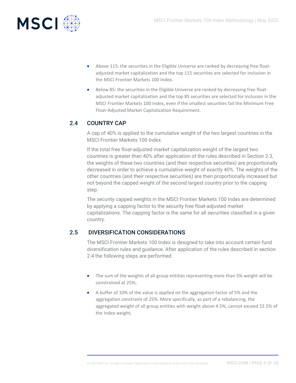

- Above 115: the securities in the Eligible Universe are ranked by decreasing free floatadjusted market capitalization and the top 115 securities are selected for inclusion in the MSCI Frontier Markets 100 Index.
- Below 85: the securities in the Eligible Universe are ranked by decreasing free floatadjusted market capitalization and the top 85 securities are selected for inclusion in the MSCI Frontier Markets 100 Index, even if the smallest securities fail the Minimum Free Float-Adjusted Market Capitalization Requirement.

# 2.4 COUNTRY CAP

<span id="page-5-0"></span>A cap of 40% is applied to the cumulative weight of the two largest countries in the MSCI Frontier Markets 100 Index.

If the total free float-adjusted market capitalization weight of the largest two countries is greater than 40% after application of the rules described in Section 2.3, the weights of these two countries (and their respective securities) are proportionally decreased in order to achieve a cumulative weight of exactly 40%. The weights of the other countries (and their respective securities) are then proportionally increased but not beyond the capped weight of the second largest country prior to the capping step.

The security capped weights in the MSCI Frontier Markets 100 Index are determined by applying a capping factor to the security free float-adjusted market capitalizations. The capping factor is the same for all securities classified in a given country.

# 2.5 DIVERSIFICATION CONSIDERATIONS

<span id="page-5-1"></span>The MSCI Frontier Markets 100 Index is designed to take into account certain fund diversification rules and guidance. After application of the rules described in section 2.4 the following steps are performed.

- The sum of the weights of all group entities representing more than 5% weight will be constrained at 25%;
- A buffer of 10% of the value is applied on the aggregation factor of 5% and the aggregation constraint of 25%. More specifically, as part of a rebalancing, the aggregated weight of all group entities with weight above 4.5%, cannot exceed 22.5% of the Index weight;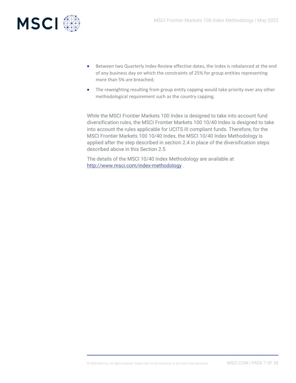

- Between two Quarterly Index Review effective dates, the Index is rebalanced at the end of any business day on which the constraints of 25% for group entities representing more than 5% are breached;
- The reweighting resulting from group entity capping would take priority over any other methodological requirement such as the country capping.

While the MSCI Frontier Markets 100 Index is designed to take into account fund diversification rules, the MSCI Frontier Markets 100 10/40 Index is designed to take into account the rules applicable for UCITS III compliant funds. Therefore, for the MSCI Frontier Markets 100 10/40 Index, the MSCI 10/40 Index Methodology is applied after the step described in section 2.4 in place of the diversification steps described above in this Section 2.5.

The details of the MSCI 10/40 Index Methodology are available at <http://www.msci.com/index-methodology> .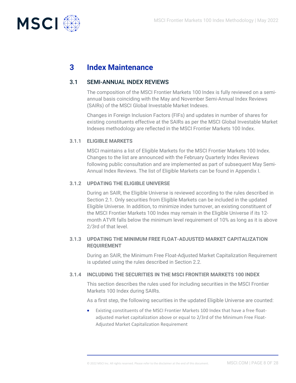

# <span id="page-7-0"></span>**3 Index Maintenance**

### 3.1 SEMI-ANNUAL INDEX REVIEWS

<span id="page-7-1"></span>The composition of the MSCI Frontier Markets 100 Index is fully reviewed on a semiannual basis coinciding with the May and November Semi-Annual Index Reviews (SAIRs) of the MSCI Global Investable Market Indexes.

Changes in Foreign Inclusion Factors (FIFs) and updates in number of shares for existing constituents effective at the SAIRs as per the MSCI Global Investable Market Indexes methodology are reflected in the MSCI Frontier Markets 100 Index.

### **3.1.1 ELIGIBLE MARKETS**

<span id="page-7-2"></span>MSCI maintains a list of Eligible Markets for the MSCI Frontier Markets 100 Index. Changes to the list are announced with the February Quarterly Index Reviews following public consultation and are implemented as part of subsequent May Semi-Annual Index Reviews. The list of Eligible Markets can be found in Appendix I.

### **3.1.2 UPDATING THE ELIGIBLE UNIVERSE**

<span id="page-7-3"></span>During an SAIR, the Eligible Universe is reviewed according to the rules described in Section 2.1. Only securities from Eligible Markets can be included in the updated Eligible Universe. In addition, to minimize index turnover, an existing constituent of the MSCI Frontier Markets 100 Index may remain in the Eligible Universe if its 12 month ATVR falls below the minimum level requirement of 10% as long as it is above 2/3rd of that level.

### <span id="page-7-4"></span>**3.1.3 UPDATING THE MINIMUM FREE FLOAT-ADJUSTED MARKET CAPITALIZATION REQUIREMENT**

During an SAIR, the Minimum Free Float-Adjusted Market Capitalization Requirement is updated using the rules described in Section 2.2.

### **3.1.4 INCLUDING THE SECURITIES IN THE MSCI FRONTIER MARKETS 100 INDEX**

<span id="page-7-5"></span>This section describes the rules used for including securities in the MSCI Frontier Markets 100 Index during SAIRs.

As a first step, the following securities in the updated Eligible Universe are counted:

• Existing constituents of the MSCI Frontier Markets 100 Index that have a free floatadjusted market capitalization above or equal to 2/3rd of the Minimum Free Float-Adjusted Market Capitalization Requirement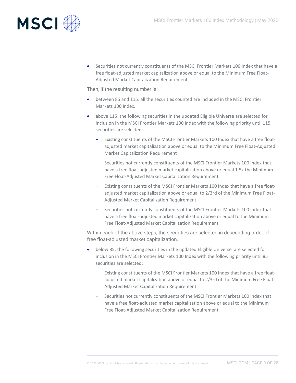

• Securities not currently constituents of the MSCI Frontier Markets 100 Index that have a free float-adjusted market capitalization above or equal to the Minimum Free Float-Adjusted Market Capitalization Requirement

Then, if the resulting number is:

- between 85 and 115: all the securities counted are included in the MSCI Frontier Markets 100 Index.
- above 115: the following securities in the updated Eligible Universe are selected for inclusion in the MSCI Frontier Markets 100 Index with the following priority until 115 securities are selected:
	- Existing constituents of the MSCI Frontier Markets 100 Index that have a free floatadjusted market capitalization above or equal to the Minimum Free Float-Adjusted Market Capitalization Requirement
	- Securities not currently constituents of the MSCI Frontier Markets 100 Index that have a free float-adjusted market capitalization above or equal 1.5x the Minimum Free Float-Adjusted Market Capitalization Requirement
	- Existing constituents of the MSCI Frontier Markets 100 Index that have a free floatadjusted market capitalization above or equal to 2/3rd of the Minimum Free Float-Adjusted Market Capitalization Requirement
	- Securities not currently constituents of the MSCI Frontier Markets 100 Index that have a free float-adjusted market capitalization above or equal to the Minimum Free Float-Adjusted Market Capitalization Requirement

Within each of the above steps, the securities are selected in descending order of free float-adjusted market capitalization.

- below 85: the following securities in the updated Eligible Universe are selected for inclusion in the MSCI Frontier Markets 100 Index with the following priority until 85 securities are selected:
	- Existing constituents of the MSCI Frontier Markets 100 Index that have a free floatadjusted market capitalization above or equal to 2/3rd of the Minimum Free Float-Adjusted Market Capitalization Requirement
	- Securities not currently constituents of the MSCI Frontier Markets 100 Index that have a free float-adjusted market capitalization above or equal to the Minimum Free Float-Adjusted Market Capitalization Requirement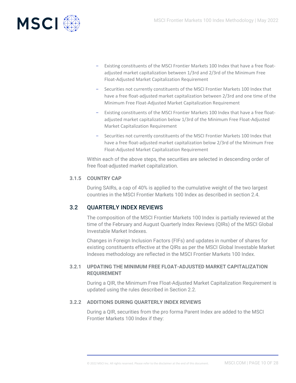

- Existing constituents of the MSCI Frontier Markets 100 Index that have a free floatadjusted market capitalization between 1/3rd and 2/3rd of the Minimum Free Float-Adjusted Market Capitalization Requirement
- Securities not currently constituents of the MSCI Frontier Markets 100 Index that have a free float-adjusted market capitalization between 2/3rd and one time of the Minimum Free Float-Adjusted Market Capitalization Requirement
- Existing constituents of the MSCI Frontier Markets 100 Index that have a free floatadjusted market capitalization below 1/3rd of the Minimum Free Float-Adjusted Market Capitalization Requirement
- Securities not currently constituents of the MSCI Frontier Markets 100 Index that have a free float-adjusted market capitalization below 2/3rd of the Minimum Free Float-Adjusted Market Capitalization Requirement

Within each of the above steps, the securities are selected in descending order of free float-adjusted market capitalization.

### **3.1.5 COUNTRY CAP**

<span id="page-9-0"></span>During SAIRs, a cap of 40% is applied to the cumulative weight of the two largest countries in the MSCI Frontier Markets 100 Index as described in section 2.4.

# 3.2 QUARTERLY INDEX REVIEWS

<span id="page-9-1"></span>The composition of the MSCI Frontier Markets 100 Index is partially reviewed at the time of the February and August Quarterly Index Reviews (QIRs) of the MSCI Global Investable Market Indexes.

Changes in Foreign Inclusion Factors (FIFs) and updates in number of shares for existing constituents effective at the QIRs as per the MSCI Global Investable Market Indexes methodology are reflected in the MSCI Frontier Markets 100 Index.

### <span id="page-9-2"></span>**3.2.1 UPDATING THE MINIMUM FREE FLOAT-ADJUSTED MARKET CAPITALIZATION REQUIREMENT**

During a QIR, the Minimum Free Float-Adjusted Market Capitalization Requirement is updated using the rules described in Section 2.2.

### **3.2.2 ADDITIONS DURING QUARTERLY INDEX REVIEWS**

<span id="page-9-3"></span>During a QIR, securities from the pro forma Parent Index are added to the MSCI Frontier Markets 100 Index if they: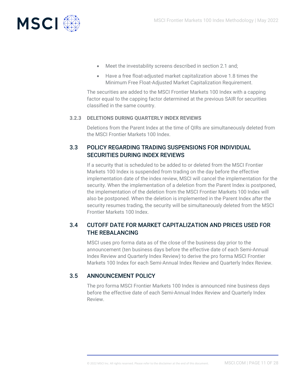

- Meet the investability screens described in section 2.1 and;
- Have a free float-adjusted market capitalization above 1.8 times the Minimum Free Float-Adjusted Market Capitalization Requirement.

The securities are added to the MSCI Frontier Markets 100 Index with a capping factor equal to the capping factor determined at the previous SAIR for securities classified in the same country.

### **3.2.3 DELETIONS DURING QUARTERLY INDEX REVIEWS**

<span id="page-10-1"></span><span id="page-10-0"></span>Deletions from the Parent Index at the time of QIRs are simultaneously deleted from the MSCI Frontier Markets 100 Index.

# 3.3 POLICY REGARDING TRADING SUSPENSIONS FOR INDIVIDUAL SECURITIES DURING INDEX REVIEWS

If a security that is scheduled to be added to or deleted from the MSCI Frontier Markets 100 Index is suspended from trading on the day before the effective implementation date of the index review, MSCI will cancel the implementation for the security. When the implementation of a deletion from the Parent Index is postponed, the implementation of the deletion from the MSCI Frontier Markets 100 Index will also be postponed. When the deletion is implemented in the Parent Index after the security resumes trading, the security will be simultaneously deleted from the MSCI Frontier Markets 100 Index.

# <span id="page-10-2"></span>3.4 CUTOFF DATE FOR MARKET CAPITALIZATION AND PRICES USED FOR THE REBALANCING

MSCI uses pro forma data as of the close of the business day prior to the announcement (ten business days before the effective date of each Semi-Annual Index Review and Quarterly Index Review) to derive the pro forma MSCI Frontier Markets 100 Index for each Semi-Annual Index Review and Quarterly Index Review.

### 3.5 ANNOUNCEMENT POLICY

<span id="page-10-3"></span>The pro forma MSCI Frontier Markets 100 Index is announced nine business days before the effective date of each Semi-Annual Index Review and Quarterly Index Review.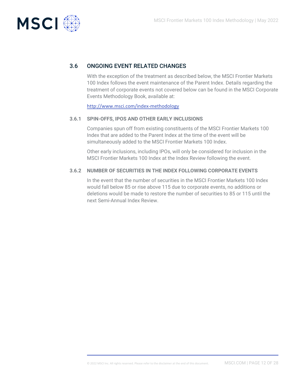

# 3.6 ONGOING EVENT RELATED CHANGES

<span id="page-11-0"></span>With the exception of the treatment as described below, the MSCI Frontier Markets 100 Index follows the event maintenance of the Parent Index. Details regarding the treatment of corporate events not covered below can be found in the MSCI Corporate Events Methodology Book, available at:

<span id="page-11-1"></span><http://www.msci.com/index-methodology>

#### **3.6.1 SPIN-OFFS, IPOS AND OTHER EARLY INCLUSIONS**

Companies spun off from existing constituents of the MSCI Frontier Markets 100 Index that are added to the Parent Index at the time of the event will be simultaneously added to the MSCI Frontier Markets 100 Index.

Other early inclusions, including IPOs, will only be considered for inclusion in the MSCI Frontier Markets 100 Index at the Index Review following the event.

#### **3.6.2 NUMBER OF SECURITIES IN THE INDEX FOLLOWING CORPORATE EVENTS**

<span id="page-11-2"></span>In the event that the number of securities in the MSCI Frontier Markets 100 Index would fall below 85 or rise above 115 due to corporate events, no additions or deletions would be made to restore the number of securities to 85 or 115 until the next Semi-Annual Index Review.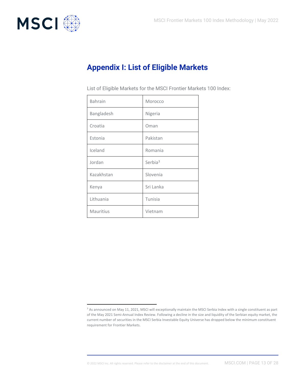

# <span id="page-12-0"></span>**Appendix I: List of Eligible Markets**

| <b>Bahrain</b> | Morocco             |
|----------------|---------------------|
| Bangladesh     | Nigeria             |
| Croatia        | Oman                |
| Estonia        | Pakistan            |
| Iceland        | Romania             |
| Jordan         | Serbia <sup>3</sup> |
| Kazakhstan     | Slovenia            |
| Kenya          | Sri Lanka           |
| Lithuania      | Tunisia             |
| Mauritius      | Vietnam             |

List of Eligible Markets for the MSCI Frontier Markets 100 Index:

<sup>&</sup>lt;sup>3</sup> As announced on May 11, 2021, MSCI will exceptionally maintain the MSCI Serbia Index with a single constituent as part of the May 2021 Semi-Annual Index Review. Following a decline in the size and liquidity of the Serbian equity market, the current number of securities in the MSCI Serbia Investable Equity Universe has dropped below the minimum constituent requirement for Frontier Markets.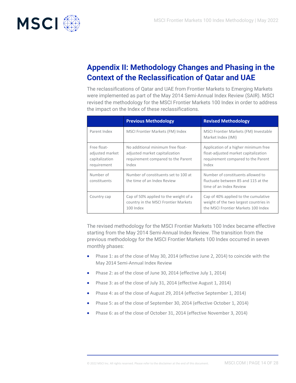

# <span id="page-13-0"></span>**Appendix II: Methodology Changes and Phasing in the Context of the Reclassification of Qatar and UAE**

The reclassifications of Qatar and UAE from Frontier Markets to Emerging Markets were implemented as part of the May 2014 Semi-Annual Index Review (SAIR). MSCI revised the methodology for the MSCI Frontier Markets 100 Index in order to address the impact on the Index of these reclassifications.

|                                                                 | <b>Previous Methodology</b>                                                                                        | <b>Revised Methodology</b>                                                                                                  |
|-----------------------------------------------------------------|--------------------------------------------------------------------------------------------------------------------|-----------------------------------------------------------------------------------------------------------------------------|
| Parent Index                                                    | MSCI Frontier Markets (FM) Index                                                                                   | MSCI Frontier Markets (FM) Investable<br>Market Index (IMI)                                                                 |
| Free float-<br>adjusted market<br>capitalization<br>requirement | No additional minimum free float-<br>adjusted market capitalization<br>requirement compared to the Parent<br>Index | Application of a higher minimum free<br>float-adjusted market capitalization<br>requirement compared to the Parent<br>Index |
| Number of<br>constituents                                       | Number of constituents set to 100 at<br>the time of an Index Review                                                | Number of constituents allowed to<br>fluctuate between 85 and 115 at the<br>time of an Index Review                         |
| Country cap                                                     | Cap of 50% applied to the weight of a<br>country in the MSCI Frontier Markets<br>100 Index                         | Cap of 40% applied to the cumulative<br>weight of the two largest countries in<br>the MSCI Frontier Markets 100 Index       |

The revised methodology for the MSCI Frontier Markets 100 Index became effective starting from the May 2014 Semi-Annual Index Review. The transition from the previous methodology for the MSCI Frontier Markets 100 Index occurred in seven monthly phases:

- Phase 1: as of the close of May 30, 2014 (effective June 2, 2014) to coincide with the May 2014 Semi-Annual Index Review
- Phase 2: as of the close of June 30, 2014 (effective July 1, 2014)
- Phase 3: as of the close of July 31, 2014 (effective August 1, 2014)
- Phase 4: as of the close of August 29, 2014 (effective September 1, 2014)
- Phase 5: as of the close of September 30, 2014 (effective October 1, 2014)
- Phase 6: as of the close of October 31, 2014 (effective November 3, 2014)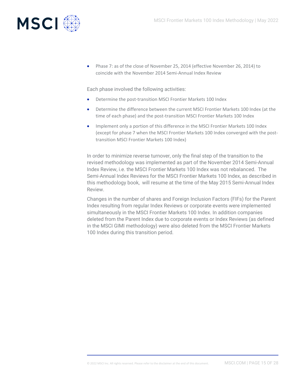

• Phase 7: as of the close of November 25, 2014 (effective November 26, 2014) to coincide with the November 2014 Semi-Annual Index Review

Each phase involved the following activities:

- Determine the post-transition MSCI Frontier Markets 100 Index
- Determine the difference between the current MSCI Frontier Markets 100 Index (at the time of each phase) and the post-transition MSCI Frontier Markets 100 Index
- Implement only a portion of this difference in the MSCI Frontier Markets 100 Index (except for phase 7 when the MSCI Frontier Markets 100 Index converged with the posttransition MSCI Frontier Markets 100 Index)

In order to minimize reverse turnover, only the final step of the transition to the revised methodology was implemented as part of the November 2014 Semi-Annual Index Review, i.e. the MSCI Frontier Markets 100 Index was not rebalanced. The Semi-Annual Index Reviews for the MSCI Frontier Markets 100 Index, as described in this methodology book, will resume at the time of the May 2015 Semi-Annual Index Review.

Changes in the number of shares and Foreign Inclusion Factors (FIFs) for the Parent Index resulting from regular Index Reviews or corporate events were implemented simultaneously in the MSCI Frontier Markets 100 Index. In addition companies deleted from the Parent Index due to corporate events or Index Reviews (as defined in the MSCI GIMI methodology) were also deleted from the MSCI Frontier Markets 100 Index during this transition period.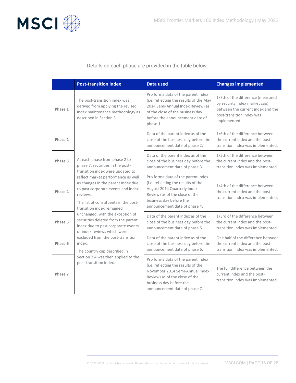

Details on each phase are provided in the table below:

|         | <b>Post-transition index</b>                                                                                                                                                                                                                                                                                                                                                                                                   | <b>Data used</b>                                                                                                                                                                                           | <b>Changes implemented</b>                                                                                                                           |
|---------|--------------------------------------------------------------------------------------------------------------------------------------------------------------------------------------------------------------------------------------------------------------------------------------------------------------------------------------------------------------------------------------------------------------------------------|------------------------------------------------------------------------------------------------------------------------------------------------------------------------------------------------------------|------------------------------------------------------------------------------------------------------------------------------------------------------|
| Phase 1 | The post-transition index was<br>derived from applying the revised<br>index maintenance methodology as<br>described in Section 3.                                                                                                                                                                                                                                                                                              | Pro forma data of the parent index<br>(i.e. reflecting the results of the May<br>2014 Semi-Annual Index Review) as<br>of the close of the business day<br>before the announcement date of<br>phase 1.      | 1/7th of the difference (measured<br>by security index market cap)<br>between the current index and the<br>post-transition index was<br>implemented. |
| Phase 2 |                                                                                                                                                                                                                                                                                                                                                                                                                                | Data of the parent index as of the<br>close of the business day before the<br>announcement date of phase 2.                                                                                                | 1/6th of the difference between<br>the current index and the post-<br>transition index was implemented.                                              |
| Phase 3 | At each phase from phase 2 to<br>phase 7, securities in the post-<br>transition index were updated to                                                                                                                                                                                                                                                                                                                          | Data of the parent index as of the<br>close of the business day before the<br>announcement date of phase 3.                                                                                                | 1/5th of the difference between<br>the current index and the post-<br>transition index was implemented.                                              |
| Phase 4 | reflect market performance as well<br>as changes in the parent index due<br>to past corporate events and index<br>reviews.<br>The list of constituents in the post-<br>transition index remained<br>unchanged, with the exception of<br>securities deleted from the parent<br>index due to past corporate events<br>or index reviews which were<br>excluded from the post-transition<br>index.<br>The country cap described in | Pro forma data of the parent index<br>(i.e. reflecting the results of the<br>August 2014 Quarterly Index<br>Review) as of the close of the<br>business day before the<br>announcement date of phase 4.     | 1/4th of the difference between<br>the current index and the post-<br>transition index was implemented.                                              |
| Phase 5 |                                                                                                                                                                                                                                                                                                                                                                                                                                | Data of the parent index as of the<br>close of the business day before the<br>announcement date of phase 5.                                                                                                | 1/3rd of the difference between<br>the current index and the post-<br>transition index was implemented.                                              |
| Phase 6 |                                                                                                                                                                                                                                                                                                                                                                                                                                |                                                                                                                                                                                                            | Data of the parent index as of the<br>close of the business day before the<br>announcement date of phase 6.                                          |
| Phase 7 | Section 2.4 was then applied to the<br>post-transition index.                                                                                                                                                                                                                                                                                                                                                                  | Pro forma data of the parent index<br>(i.e. reflecting the results of the<br>November 2014 Semi-Annual Index<br>Review) as of the close of the<br>business day before the<br>announcement date of phase 7. | The full difference between the<br>current index and the post-<br>transition index was implemented.                                                  |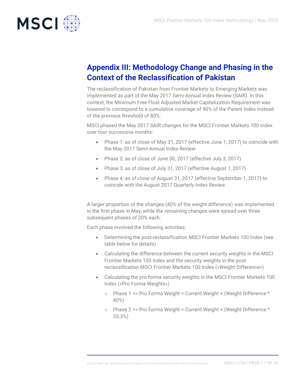

# <span id="page-16-0"></span>**Appendix III: Methodology Change and Phasing in the Context of the Reclassification of Pakistan**

The reclassification of Pakistan from Frontier Markets to Emerging Markets was implemented as part of the May 2017 Semi-Annual Index Review (SAIR). In this context, the Minimum Free Float Adjusted Market Capitalization Requirement was lowered to correspond to a cumulative coverage of 90% of the Parent Index instead of the previous threshold of 80%.

MSCI phased the May 2017 SAIR changes for the MSCI Frontier Markets 100 Index over four successive months:

- Phase 1: as of close of May 31, 2017 (effective June 1, 2017) to coincide with the May 2017 Semi-Annual Index Review
- Phase 2: as of close of June 30, 2017 (effective July 3, 2017)
- Phase 3: as of close of July 31, 2017 (effective August 1, 2017)
- Phase 4: as of close of August 31, 2017 (effective September 1, 2017) to coincide with the August 2017 Quarterly Index Review

A larger proportion of the changes (40% of the weight difference) was implemented in the first phase in May, while the remaining changes were spread over three subsequent phases of 20% each.

Each phase involved the following activities:

- Determining the post-reclassification MSCI Frontier Markets 100 Index (see table below for details)
- Calculating the difference between the current security weights in the MSCI Frontier Markets 100 Index and the security weights in the postreclassification MSCI Frontier Markets 100 Index («Weight Difference»)
- Calculating the pro forma security weights in the MSCI Frontier Markets 100 Index («Pro Forma Weights»)
	- $\circ$  Phase 1 => Pro Forma Weight = Current Weight + (Weight Difference \* 40%)
	- $\circ$  Phase 2 => Pro Forma Weight = Current Weight + (Weight Difference \* 33.3%)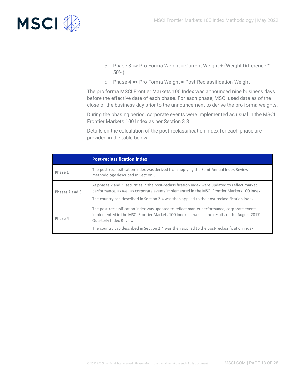

- $\circ$  Phase 3 => Pro Forma Weight = Current Weight + (Weight Difference \* 50%)
- o Phase 4 => Pro Forma Weight = Post-Reclassification Weight

The pro forma MSCI Frontier Markets 100 Index was announced nine business days before the effective date of each phase. For each phase, MSCI used data as of the close of the business day prior to the announcement to derive the pro forma weights.

During the phasing period, corporate events were implemented as usual in the MSCI Frontier Markets 100 Index as per Section 3.3.

Details on the calculation of the post-reclassification index for each phase are provided in the table below:

|                | <b>Post-reclassification index</b>                                                                                                                                                                                                                                                                                       |
|----------------|--------------------------------------------------------------------------------------------------------------------------------------------------------------------------------------------------------------------------------------------------------------------------------------------------------------------------|
| Phase 1        | The post-reclassification index was derived from applying the Semi-Annual Index Review<br>methodology described in Section 3.1.                                                                                                                                                                                          |
| Phases 2 and 3 | At phases 2 and 3, securities in the post-reclassification index were updated to reflect market<br>performance, as well as corporate events implemented in the MSCI Frontier Markets 100 Index.<br>The country cap described in Section 2.4 was then applied to the post-reclassification index.                         |
| Phase 4        | The post-reclassification index was updated to reflect market performance, corporate events<br>implemented in the MSCI Frontier Markets 100 Index, as well as the results of the August 2017<br>Quarterly Index Review.<br>The country cap described in Section 2.4 was then applied to the post-reclassification index. |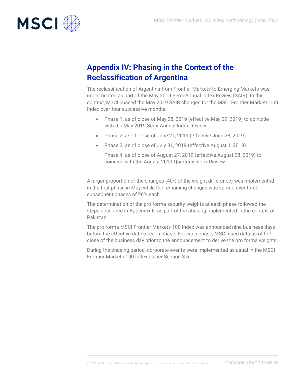

# <span id="page-18-0"></span>**Appendix IV: Phasing in the Context of the Reclassification of Argentina**

The reclassification of Argentina from Frontier Markets to Emerging Markets was implemented as part of the May 2019 Semi-Annual Index Review (SAIR). In this context, MSCI phased the May 2019 SAIR changes for the MSCI Frontier Markets 100 Index over four successive months:

- Phase 1: as of close of May 28, 2019 (effective May 29, 2019) to coincide with the May 2019 Semi-Annual Index Review
- Phase 2: as of close of June 27, 2019 (effective June 28, 2019)
- Phase 3: as of close of July 31, 2019 (effective August 1, 2019)

Phase 4: as of close of August 27, 2019 (effective August 28, 2019) to coincide with the August 2019 Quarterly Index Review

A larger proportion of the changes (40% of the weight difference) was implemented in the first phase in May, while the remaining changes was spread over three subsequent phases of 20% each.

The determination of the pro forma security weights at each phase followed the steps described in Appendix III as part of the phasing implemented in the context of Pakistan.

The pro forma MSCI Frontier Markets 100 Index was announced nine business days before the effective date of each phase. For each phase, MSCI used data as of the close of the business day prior to the announcement to derive the pro forma weights.

During the phasing period, corporate events were implemented as usual in the MSCI Frontier Markets 100 Index as per Section 3.6.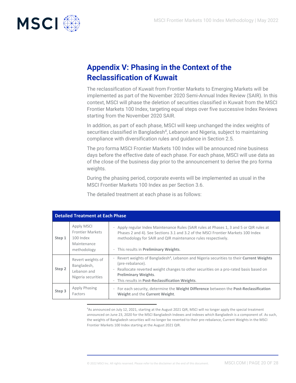

# <span id="page-19-0"></span>**Appendix V: Phasing in the Context of the Reclassification of Kuwait**

The reclassification of Kuwait from Frontier Markets to Emerging Markets will be implemented as part of the November 2020 Semi-Annual Index Review (SAIR). In this context, MSCI will phase the deletion of securities classified in Kuwait from the MSCI Frontier Markets 100 Index, targeting equal steps over five successive Index Reviews starting from the November 2020 SAIR.

In addition, as part of each phase, MSCI will keep unchanged the index weights of securities classified in Bangladesh<sup>4</sup>, Lebanon and Nigeria, subject to maintaining compliance with diversification rules and guidance in Section 2.5.

The pro forma MSCI Frontier Markets 100 Index will be announced nine business days before the effective date of each phase. For each phase, MSCI will use data as of the close of the business day prior to the announcement to derive the pro forma weights.

During the phasing period, corporate events will be implemented as usual in the MSCI Frontier Markets 100 Index as per Section 3.6.

The detailed treatment at each phase is as follows:

| <b>Detailed Treatment at Each Phase</b> |                                                                                  |                                                                                                                                                                                                                                                                                                                                                                   |
|-----------------------------------------|----------------------------------------------------------------------------------|-------------------------------------------------------------------------------------------------------------------------------------------------------------------------------------------------------------------------------------------------------------------------------------------------------------------------------------------------------------------|
| Step 1                                  | Apply MSCI<br><b>Frontier Markets</b><br>100 Index<br>Maintenance<br>methodology | Apply regular Index Maintenance Rules (SAIR rules at Phases 1, 3 and 5 or QIR rules at<br>Phases 2 and 4). See Sections 3.1 and 3.2 of the MSCI Frontier Markets 100 Index<br>methodology for SAIR and QIR maintenance rules respectively.<br>- This results in Preliminary Weights.                                                                              |
| Step <sub>2</sub>                       | Revert weights of<br>Bangladesh,<br>Lebanon and<br>Nigeria securities            | - Revert weights of Bangladesh <sup>4</sup> , Lebanon and Nigeria securities to their <b>Current Weights</b><br>(pre-rebalance).<br>Reallocate reverted weight changes to other securities on a pro-rated basis based on<br>$\overline{\phantom{a}}$<br><b>Preliminary Weights.</b><br>This results in Post-Reclassification Weights.<br>$\overline{\phantom{0}}$ |
| Step 3                                  | <b>Apply Phasing</b><br>Factors                                                  | For each security, determine the Weight Difference between the Post-Reclassification<br>$\overline{\phantom{a}}$<br>Weight and the Current Weight.                                                                                                                                                                                                                |

<sup>4</sup>As announced on July 12, 2021, starting at the August 2021 QIR, MSCI will no longer apply the special treatment announced on June 23, 2020 for the MSCI Bangladesh Indexes and indexes which Bangladesh is a component of. As such, the weights of Bangladesh securities will no longer be reverted to their pre-rebalance, Current Weights in the MSCI Frontier Markets 100 Index starting at the August 2021 QIR.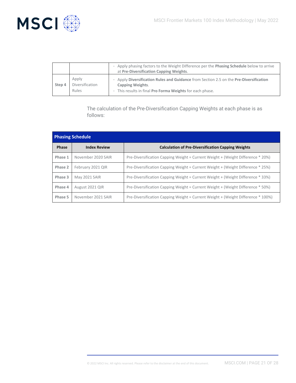

|        |                                   | Apply phasing factors to the Weight Difference per the Phasing Schedule below to arrive<br>at Pre-Diversification Capping Weights.                                           |
|--------|-----------------------------------|------------------------------------------------------------------------------------------------------------------------------------------------------------------------------|
| Step 4 | Apply<br>Diversification<br>Rules | Apply Diversification Rules and Guidance from Section 2.5 on the Pre-Diversification<br><b>Capping Weights.</b><br>- This results in final Pro Forma Weights for each phase. |

The calculation of the Pre-Diversification Capping Weights at each phase is as follows:

| <b>Phasing Schedule</b> |                     |                                                                                  |  |
|-------------------------|---------------------|----------------------------------------------------------------------------------|--|
| Phase                   | <b>Index Review</b> | <b>Calculation of Pre-Diversification Capping Weights</b>                        |  |
| Phase 1                 | November 2020 SAIR  | Pre-Diversification Capping Weight = Current Weight + (Weight Difference * 20%)  |  |
| Phase 2                 | February 2021 QIR   | Pre-Diversification Capping Weight = Current Weight + (Weight Difference * 25%)  |  |
| Phase 3                 | May 2021 SAIR       | Pre-Diversification Capping Weight = Current Weight + (Weight Difference * 33%)  |  |
| Phase 4                 | August 2021 QIR     | Pre-Diversification Capping Weight = Current Weight + (Weight Difference * 50%)  |  |
| Phase 5                 | November 2021 SAIR  | Pre-Diversification Capping Weight = Current Weight + (Weight Difference * 100%) |  |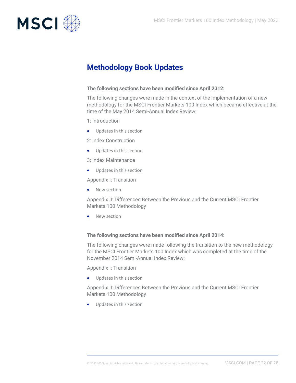

# <span id="page-21-0"></span>**Methodology Book Updates**

#### **The following sections have been modified since April 2012:**

The following changes were made in the context of the implementation of a new methodology for the MSCI Frontier Markets 100 Index which became effective at the time of the May 2014 Semi-Annual Index Review:

- 1: Introduction
- Updates in this section
- 2: Index Construction
- Updates in this section
- 3: Index Maintenance
- Updates in this section

Appendix I: Transition

• New section

Appendix II: Differences Between the Previous and the Current MSCI Frontier Markets 100 Methodology

• New section

### **The following sections have been modified since April 2014:**

The following changes were made following the transition to the new methodology for the MSCI Frontier Markets 100 Index which was completed at the time of the November 2014 Semi-Annual Index Review:

Appendix I: Transition

• Updates in this section

Appendix II: Differences Between the Previous and the Current MSCI Frontier Markets 100 Methodology

• Updates in this section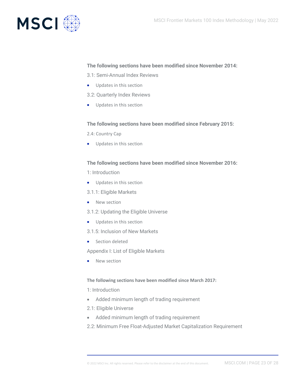

#### **The following sections have been modified since November 2014:**

3.1: Semi-Annual Index Reviews

- Updates in this section
- 3.2: Quarterly Index Reviews
- Updates in this section

#### **The following sections have been modified since February 2015:**

- 2.4: Country Cap
- Updates in this section

#### **The following sections have been modified since November 2016:**

1: Introduction

- Updates in this section
- 3.1.1: Eligible Markets
- New section
- 3.1.2: Updating the Eligible Universe
- Updates in this section
- 3.1.5: Inclusion of New Markets
- Section deleted

Appendix I: List of Eligible Markets

• New section

#### **The following sections have been modified since March 2017:**

1: Introduction

- Added minimum length of trading requirement
- 2.1: Eligible Universe
- Added minimum length of trading requirement

2.2: Minimum Free Float-Adjusted Market Capitalization Requirement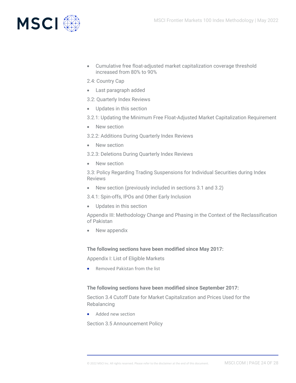

- Cumulative free float-adjusted market capitalization coverage threshold increased from 80% to 90%
- 2.4: Country Cap
- Last paragraph added
- 3.2: Quarterly Index Reviews
- Updates in this section
- 3.2.1: Updating the Minimum Free Float-Adjusted Market Capitalization Requirement
- New section
- 3.2.2: Additions During Quarterly Index Reviews
- New section
- 3.2.3: Deletions During Quarterly Index Reviews
- New section

3.3: Policy Regarding Trading Suspensions for Individual Securities during Index Reviews

• New section (previously included in sections 3.1 and 3.2)

3.4.1: Spin-offs, IPOs and Other Early Inclusion

• Updates in this section

Appendix III: Methodology Change and Phasing in the Context of the Reclassification of Pakistan

• New appendix

**The following sections have been modified since May 2017:**

Appendix I: List of Eligible Markets

• Removed Pakistan from the list

#### **The following sections have been modified since September 2017:**

Section 3.4 Cutoff Date for Market Capitalization and Prices Used for the Rebalancing

• Added new section

Section 3.5 Announcement Policy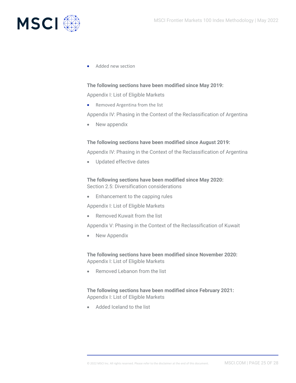

• Added new section

#### **The following sections have been modified since May 2019:**

Appendix I: List of Eligible Markets

• Removed Argentina from the list

Appendix IV: Phasing in the Context of the Reclassification of Argentina

• New appendix

#### **The following sections have been modified since August 2019:**

Appendix IV: Phasing in the Context of the Reclassification of Argentina

• Updated effective dates

**The following sections have been modified since May 2020:** Section 2.5: Diversification considerations

• Enhancement to the capping rules

Appendix I: List of Eligible Markets

• Removed Kuwait from the list

Appendix V: Phasing in the Context of the Reclassification of Kuwait

• New Appendix

**The following sections have been modified since November 2020:** Appendix I: List of Eligible Markets

• Removed Lebanon from the list

### **The following sections have been modified since February 2021:** Appendix I: List of Eligible Markets

• Added Iceland to the list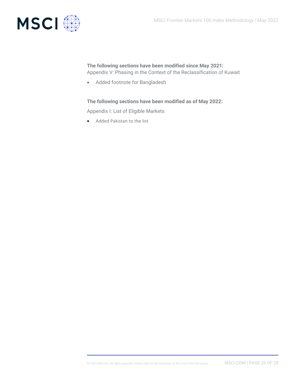

### **The following sections have been modified since May 2021:** Appendix V: Phasing in the Context of the Reclassification of Kuwait

• Added footnote for Bangladesh

#### **The following sections have been modified as of May 2022:**

Appendix I: List of Eligible Markets

• Added Pakistan to the list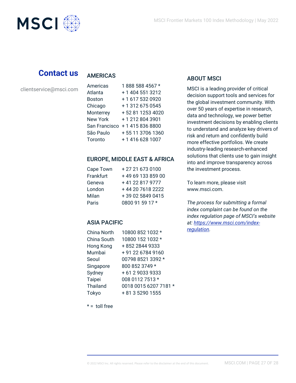

# **Contact us**

# **AMERICAS**

clientservice@msci.com

| Americas        | 1888 588 4567 *  |
|-----------------|------------------|
| Atlanta         | + 1 404 551 3212 |
| <b>Boston</b>   | +16175320920     |
| Chicago         | + 1 312 675 0545 |
| Monterrey       | +52 81 1253 4020 |
| <b>New York</b> | +12128043901     |
| San Francisco   | + 1 415 836 8800 |
| São Paulo       | +55 11 3706 1360 |
| Toronto         | +14166281007     |

# EUROPE, MIDDLE EAST & AFRICA

| Cape Town | +27216730100      |
|-----------|-------------------|
| Frankfurt | +49 69 133 859 00 |
| Geneva    | +41 22 817 9777   |
| London    | +44 20 7618 2222  |
| Milan     | +39 02 5849 0415  |
| Paris     | 0800 91 59 17 *   |

# ASIA PACIFIC

| China North     | 10800 852 1032 *      |
|-----------------|-----------------------|
| China South     | 10800 152 1032 *      |
| Hong Kong       | +852 2844 9333        |
| Mumbai          | +91 22 6784 9160      |
| Seoul           | 00798 8521 3392 *     |
| Singapore       | 800 852 3749 *        |
| Sydney          | +61290339333          |
| <b>Taipei</b>   | 008 0112 7513 *       |
| <b>Thailand</b> | 0018 0015 6207 7181 * |
| Tokyo           | + 81 3 5290 1555      |
|                 |                       |

 $* =$  toll free

### ABOUT MSCI

MSCI is a leading provider of critical decision support tools and services for the global investment community. With over 50 years of expertise in research, data and technology, we power better investment decisions by enabling clients to understand and analyze key drivers of risk and return and confidently build more effective portfolios. We create industry-leading research-enhanced solutions that clients use to gain insight into and improve transparency across the investment process.

To learn more, please visit www.msci.com.

*The process for submitting a formal index complaint can be found on the index regulation page of MSCI's website at: [https://www.msci.com/index](https://www.msci.com/index-regulation)[regulation](https://www.msci.com/index-regulation).*